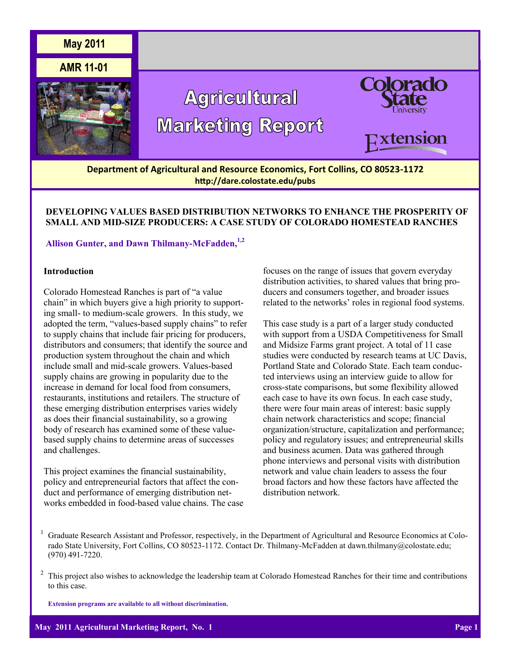

# **DEVELOPING VALUES BASED DISTRIBUTION NETWORKS TO ENHANCE THE PROSPERITY OF SMALL AND MID-SIZE PRODUCERS: A CASE STUDY OF COLORADO HOMESTEAD RANCHES**

# **Allison Gunter, and Dawn Thilmany-McFadden,1,2**

# **Introduction**

Colorado Homestead Ranches is part of "a value chain" in which buyers give a high priority to supporting small- to medium-scale growers. In this study, we adopted the term, "values-based supply chains" to refer to supply chains that include fair pricing for producers, distributors and consumers; that identify the source and production system throughout the chain and which include small and mid-scale growers. Values-based supply chains are growing in popularity due to the increase in demand for local food from consumers, restaurants, institutions and retailers. The structure of these emerging distribution enterprises varies widely as does their financial sustainability, so a growing body of research has examined some of these valuebased supply chains to determine areas of successes and challenges.

This project examines the financial sustainability, policy and entrepreneurial factors that affect the conduct and performance of emerging distribution networks embedded in food-based value chains. The case

focuses on the range of issues that govern everyday distribution activities, to shared values that bring producers and consumers together, and broader issues related to the networks' roles in regional food systems.

This case study is a part of a larger study conducted with support from a USDA Competitiveness for Small and Midsize Farms grant project. A total of 11 case studies were conducted by research teams at UC Davis, Portland State and Colorado State. Each team conducted interviews using an interview guide to allow for cross-state comparisons, but some flexibility allowed each case to have its own focus. In each case study, there were four main areas of interest: basic supply chain network characteristics and scope; financial organization/structure, capitalization and performance; policy and regulatory issues; and entrepreneurial skills and business acumen. Data was gathered through phone interviews and personal visits with distribution network and value chain leaders to assess the four broad factors and how these factors have affected the distribution network.

**Extension programs are available to all without discrimination.**

<sup>1</sup> Graduate Research Assistant and Professor, respectively, in the Department of Agricultural and Resource Economics at Colorado State University, Fort Collins, CO 80523-1172. Contact Dr. Thilmany-McFadden at dawn.thilmany@colostate.edu; (970) 491-7220.

<sup>2</sup> This project also wishes to acknowledge the leadership team at Colorado Homestead Ranches for their time and contributions to this case.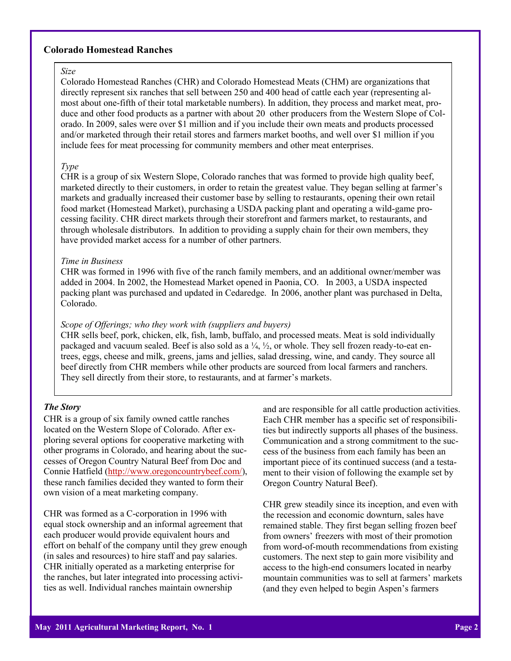# **Colorado Homestead Ranches**

#### *Size*

Colorado Homestead Ranches (CHR) and Colorado Homestead Meats (CHM) are organizations that directly represent six ranches that sell between 250 and 400 head of cattle each year (representing almost about one-fifth of their total marketable numbers). In addition, they process and market meat, produce and other food products as a partner with about 20 other producers from the Western Slope of Colorado. In 2009, sales were over \$1 million and if you include their own meats and products processed and/or marketed through their retail stores and farmers market booths, and well over \$1 million if you include fees for meat processing for community members and other meat enterprises.

### *Type*

CHR is a group of six Western Slope, Colorado ranches that was formed to provide high quality beef, marketed directly to their customers, in order to retain the greatest value. They began selling at farmer's markets and gradually increased their customer base by selling to restaurants, opening their own retail food market (Homestead Market), purchasing a USDA packing plant and operating a wild-game processing facility. CHR direct markets through their storefront and farmers market, to restaurants, and through wholesale distributors. In addition to providing a supply chain for their own members, they have provided market access for a number of other partners.

#### *Time in Business*

CHR was formed in 1996 with five of the ranch family members, and an additional owner/member was added in 2004. In 2002, the Homestead Market opened in Paonia, CO. In 2003, a USDA inspected packing plant was purchased and updated in Cedaredge. In 2006, another plant was purchased in Delta, Colorado.

#### *Scope of Offerings; who they work with (suppliers and buyers)*

CHR sells beef, pork, chicken, elk, fish, lamb, buffalo, and processed meats. Meat is sold individually packaged and vacuum sealed. Beef is also sold as a  $\frac{1}{4}$ ,  $\frac{1}{2}$ , or whole. They sell frozen ready-to-eat entrees, eggs, cheese and milk, greens, jams and jellies, salad dressing, wine, and candy. They source all beef directly from CHR members while other products are sourced from local farmers and ranchers. They sell directly from their store, to restaurants, and at farmer's markets.

#### *The Story*

CHR is a group of six family owned cattle ranches located on the Western Slope of Colorado. After exploring several options for cooperative marketing with other programs in Colorado, and hearing about the successes of Oregon Country Natural Beef from Doc and Connie Hatfield [\(http://www.oregoncountrybeef.com/\),](http://www.oregoncountrybeef.com/) these ranch families decided they wanted to form their own vision of a meat marketing company.

CHR was formed as a C-corporation in 1996 with equal stock ownership and an informal agreement that each producer would provide equivalent hours and effort on behalf of the company until they grew enough (in sales and resources) to hire staff and pay salaries. CHR initially operated as a marketing enterprise for the ranches, but later integrated into processing activities as well. Individual ranches maintain ownership

and are responsible for all cattle production activities. Each CHR member has a specific set of responsibilities but indirectly supports all phases of the business. Communication and a strong commitment to the success of the business from each family has been an important piece of its continued success (and a testament to their vision of following the example set by Oregon Country Natural Beef).

CHR grew steadily since its inception, and even with the recession and economic downturn, sales have remained stable. They first began selling frozen beef from owners' freezers with most of their promotion from word-of-mouth recommendations from existing customers. The next step to gain more visibility and access to the high-end consumers located in nearby mountain communities was to sell at farmers' markets (and they even helped to begin Aspen's farmers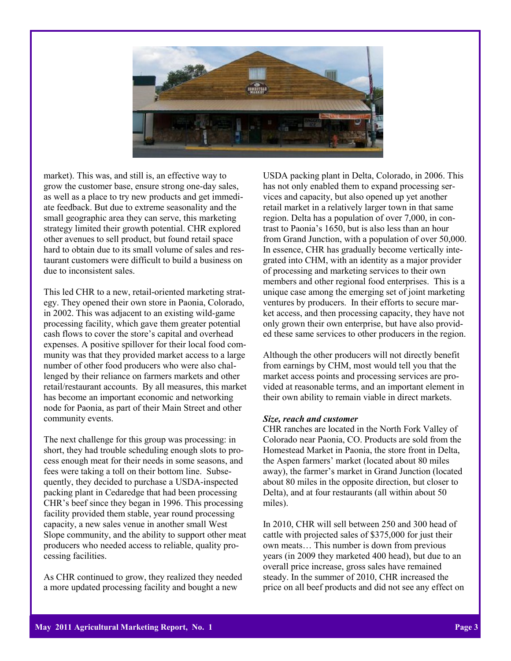

market). This was, and still is, an effective way to grow the customer base, ensure strong one-day sales, as well as a place to try new products and get immediate feedback. But due to extreme seasonality and the small geographic area they can serve, this marketing strategy limited their growth potential. CHR explored other avenues to sell product, but found retail space hard to obtain due to its small volume of sales and restaurant customers were difficult to build a business on due to inconsistent sales.

This led CHR to a new, retail-oriented marketing strategy. They opened their own store in Paonia, Colorado, in 2002. This was adjacent to an existing wild-game processing facility, which gave them greater potential cash flows to cover the store's capital and overhead expenses. A positive spillover for their local food community was that they provided market access to a large number of other food producers who were also challenged by their reliance on farmers markets and other retail/restaurant accounts. By all measures, this market has become an important economic and networking node for Paonia, as part of their Main Street and other community events.

The next challenge for this group was processing: in short, they had trouble scheduling enough slots to process enough meat for their needs in some seasons, and fees were taking a toll on their bottom line. Subsequently, they decided to purchase a USDA-inspected packing plant in Cedaredge that had been processing CHR's beef since they began in 1996. This processing facility provided them stable, year round processing capacity, a new sales venue in another small West Slope community, and the ability to support other meat producers who needed access to reliable, quality processing facilities.

As CHR continued to grow, they realized they needed a more updated processing facility and bought a new

USDA packing plant in Delta, Colorado, in 2006. This has not only enabled them to expand processing services and capacity, but also opened up yet another retail market in a relatively larger town in that same region. Delta has a population of over 7,000, in contrast to Paonia's 1650, but is also less than an hour from Grand Junction, with a population of over 50,000. In essence, CHR has gradually become vertically integrated into CHM, with an identity as a major provider of processing and marketing services to their own members and other regional food enterprises. This is a unique case among the emerging set of joint marketing ventures by producers. In their efforts to secure market access, and then processing capacity, they have not only grown their own enterprise, but have also provided these same services to other producers in the region.

Although the other producers will not directly benefit from earnings by CHM, most would tell you that the market access points and processing services are provided at reasonable terms, and an important element in their own ability to remain viable in direct markets.

# *Size, reach and customer*

CHR ranches are located in the North Fork Valley of Colorado near Paonia, CO. Products are sold from the Homestead Market in Paonia, the store front in Delta, the Aspen farmers' market (located about 80 miles away), the farmer's market in Grand Junction (located about 80 miles in the opposite direction, but closer to Delta), and at four restaurants (all within about 50 miles).

In 2010, CHR will sell between 250 and 300 head of cattle with projected sales of \$375,000 for just their own meats… This number is down from previous years (in 2009 they marketed 400 head), but due to an overall price increase, gross sales have remained steady. In the summer of 2010, CHR increased the price on all beef products and did not see any effect on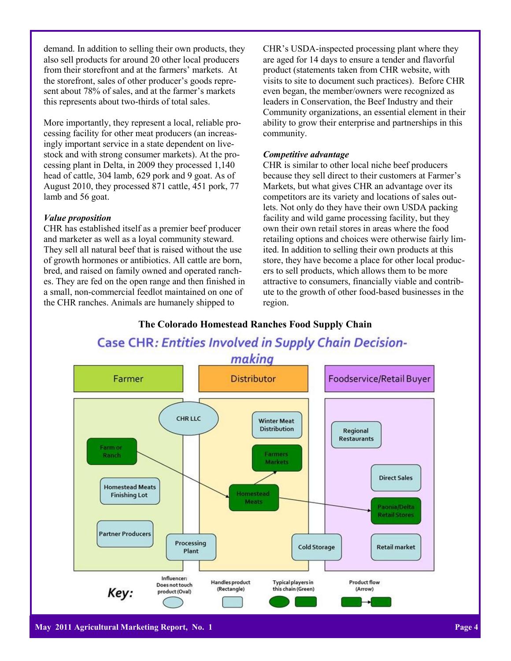demand. In addition to selling their own products, they also sell products for around 20 other local producers from their storefront and at the farmers' markets. At the storefront, sales of other producer's goods represent about 78% of sales, and at the farmer's markets this represents about two-thirds of total sales.

More importantly, they represent a local, reliable processing facility for other meat producers (an increasingly important service in a state dependent on livestock and with strong consumer markets). At the processing plant in Delta, in 2009 they processed 1,140 head of cattle, 304 lamb, 629 pork and 9 goat. As of August 2010, they processed 871 cattle, 451 pork, 77 lamb and 56 goat.

#### *Value proposition*

CHR has established itself as a premier beef producer and marketer as well as a loyal community steward. They sell all natural beef that is raised without the use of growth hormones or antibiotics. All cattle are born, bred, and raised on family owned and operated ranches. They are fed on the open range and then finished in a small, non-commercial feedlot maintained on one of the CHR ranches. Animals are humanely shipped to

CHR's USDA-inspected processing plant where they are aged for 14 days to ensure a tender and flavorful product (statements taken from CHR website, with visits to site to document such practices). Before CHR even began, the member/owners were recognized as leaders in Conservation, the Beef Industry and their Community organizations, an essential element in their ability to grow their enterprise and partnerships in this community.

# *Competitive advantage*

CHR is similar to other local niche beef producers because they sell direct to their customers at Farmer's Markets, but what gives CHR an advantage over its competitors are its variety and locations of sales outlets. Not only do they have their own USDA packing facility and wild game processing facility, but they own their own retail stores in areas where the food retailing options and choices were otherwise fairly limited. In addition to selling their own products at this store, they have become a place for other local producers to sell products, which allows them to be more attractive to consumers, financially viable and contribute to the growth of other food-based businesses in the region.



**The Colorado Homestead Ranches Food Supply Chain**

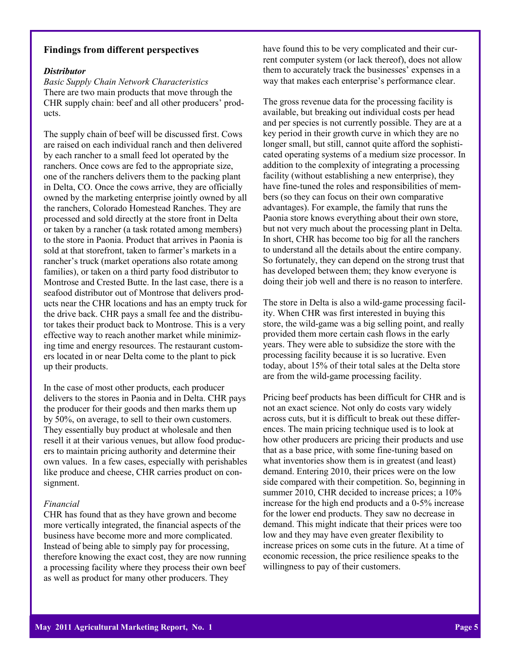# **Findings from different perspectives**

#### *Distributor*

*Basic Supply Chain Network Characteristics* There are two main products that move through the CHR supply chain: beef and all other producers' products.

The supply chain of beef will be discussed first. Cows are raised on each individual ranch and then delivered by each rancher to a small feed lot operated by the ranchers. Once cows are fed to the appropriate size, one of the ranchers delivers them to the packing plant in Delta, CO. Once the cows arrive, they are officially owned by the marketing enterprise jointly owned by all the ranchers, Colorado Homestead Ranches. They are processed and sold directly at the store front in Delta or taken by a rancher (a task rotated among members) to the store in Paonia. Product that arrives in Paonia is sold at that storefront, taken to farmer's markets in a rancher's truck (market operations also rotate among families), or taken on a third party food distributor to Montrose and Crested Butte. In the last case, there is a seafood distributor out of Montrose that delivers products near the CHR locations and has an empty truck for the drive back. CHR pays a small fee and the distributor takes their product back to Montrose. This is a very effective way to reach another market while minimizing time and energy resources. The restaurant customers located in or near Delta come to the plant to pick up their products.

In the case of most other products, each producer delivers to the stores in Paonia and in Delta. CHR pays the producer for their goods and then marks them up by 50%, on average, to sell to their own customers. They essentially buy product at wholesale and then resell it at their various venues, but allow food producers to maintain pricing authority and determine their own values. In a few cases, especially with perishables like produce and cheese, CHR carries product on consignment.

### *Financial*

CHR has found that as they have grown and become more vertically integrated, the financial aspects of the business have become more and more complicated. Instead of being able to simply pay for processing, therefore knowing the exact cost, they are now running a processing facility where they process their own beef as well as product for many other producers. They

have found this to be very complicated and their current computer system (or lack thereof), does not allow them to accurately track the businesses' expenses in a way that makes each enterprise's performance clear.

The gross revenue data for the processing facility is available, but breaking out individual costs per head and per species is not currently possible. They are at a key period in their growth curve in which they are no longer small, but still, cannot quite afford the sophisticated operating systems of a medium size processor. In addition to the complexity of integrating a processing facility (without establishing a new enterprise), they have fine-tuned the roles and responsibilities of members (so they can focus on their own comparative advantages). For example, the family that runs the Paonia store knows everything about their own store, but not very much about the processing plant in Delta. In short, CHR has become too big for all the ranchers to understand all the details about the entire company. So fortunately, they can depend on the strong trust that has developed between them; they know everyone is doing their job well and there is no reason to interfere.

The store in Delta is also a wild-game processing facility. When CHR was first interested in buying this store, the wild-game was a big selling point, and really provided them more certain cash flows in the early years. They were able to subsidize the store with the processing facility because it is so lucrative. Even today, about 15% of their total sales at the Delta store are from the wild-game processing facility.

Pricing beef products has been difficult for CHR and is not an exact science. Not only do costs vary widely across cuts, but it is difficult to break out these differences. The main pricing technique used is to look at how other producers are pricing their products and use that as a base price, with some fine-tuning based on what inventories show them is in greatest (and least) demand. Entering 2010, their prices were on the low side compared with their competition. So, beginning in summer 2010, CHR decided to increase prices; a  $10\%$ increase for the high end products and a 0-5% increase for the lower end products. They saw no decrease in demand. This might indicate that their prices were too low and they may have even greater flexibility to increase prices on some cuts in the future. At a time of economic recession, the price resilience speaks to the willingness to pay of their customers.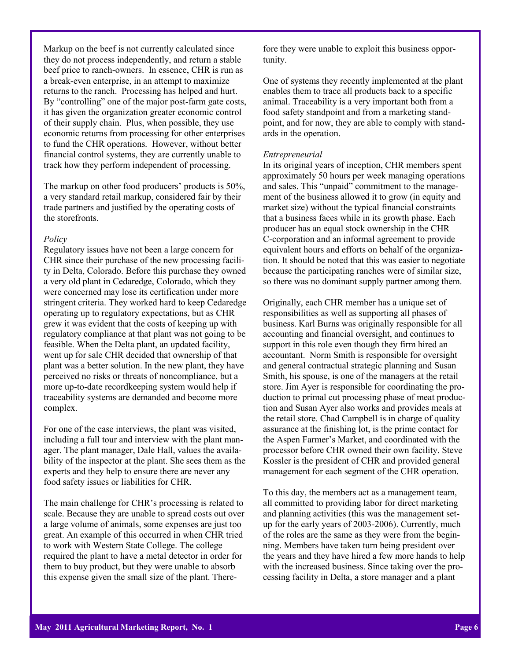Markup on the beef is not currently calculated since they do not process independently, and return a stable beef price to ranch-owners. In essence, CHR is run as a break-even enterprise, in an attempt to maximize returns to the ranch. Processing has helped and hurt. By "controlling" one of the major post-farm gate costs, it has given the organization greater economic control of their supply chain. Plus, when possible, they use economic returns from processing for other enterprises to fund the CHR operations. However, without better financial control systems, they are currently unable to track how they perform independent of processing.

The markup on other food producers' products is 50%, a very standard retail markup, considered fair by their trade partners and justified by the operating costs of the storefronts.

### *Policy*

Regulatory issues have not been a large concern for CHR since their purchase of the new processing facility in Delta, Colorado. Before this purchase they owned a very old plant in Cedaredge, Colorado, which they were concerned may lose its certification under more stringent criteria. They worked hard to keep Cedaredge operating up to regulatory expectations, but as CHR grew it was evident that the costs of keeping up with regulatory compliance at that plant was not going to be feasible. When the Delta plant, an updated facility, went up for sale CHR decided that ownership of that plant was a better solution. In the new plant, they have perceived no risks or threats of noncompliance, but a more up-to-date recordkeeping system would help if traceability systems are demanded and become more complex.

For one of the case interviews, the plant was visited, including a full tour and interview with the plant manager. The plant manager, Dale Hall, values the availability of the inspector at the plant. She sees them as the experts and they help to ensure there are never any food safety issues or liabilities for CHR.

The main challenge for CHR's processing is related to scale. Because they are unable to spread costs out over a large volume of animals, some expenses are just too great. An example of this occurred in when CHR tried to work with Western State College. The college required the plant to have a metal detector in order for them to buy product, but they were unable to absorb this expense given the small size of the plant. There-

fore they were unable to exploit this business opportunity.

One of systems they recently implemented at the plant enables them to trace all products back to a specific animal. Traceability is a very important both from a food safety standpoint and from a marketing standpoint, and for now, they are able to comply with standards in the operation.

### *Entrepreneurial*

In its original years of inception, CHR members spent approximately 50 hours per week managing operations and sales. This "unpaid" commitment to the management of the business allowed it to grow (in equity and market size) without the typical financial constraints that a business faces while in its growth phase. Each producer has an equal stock ownership in the CHR C-corporation and an informal agreement to provide equivalent hours and efforts on behalf of the organization. It should be noted that this was easier to negotiate because the participating ranches were of similar size, so there was no dominant supply partner among them.

Originally, each CHR member has a unique set of responsibilities as well as supporting all phases of business. Karl Burns was originally responsible for all accounting and financial oversight, and continues to support in this role even though they firm hired an accountant. Norm Smith is responsible for oversight and general contractual strategic planning and Susan Smith, his spouse, is one of the managers at the retail store. Jim Ayer is responsible for coordinating the production to primal cut processing phase of meat production and Susan Ayer also works and provides meals at the retail store. Chad Campbell is in charge of quality assurance at the finishing lot, is the prime contact for the Aspen Farmer's Market, and coordinated with the processor before CHR owned their own facility. Steve Kossler is the president of CHR and provided general management for each segment of the CHR operation.

To this day, the members act as a management team, all committed to providing labor for direct marketing and planning activities (this was the management setup for the early years of 2003-2006). Currently, much of the roles are the same as they were from the beginning. Members have taken turn being president over the years and they have hired a few more hands to help with the increased business. Since taking over the processing facility in Delta, a store manager and a plant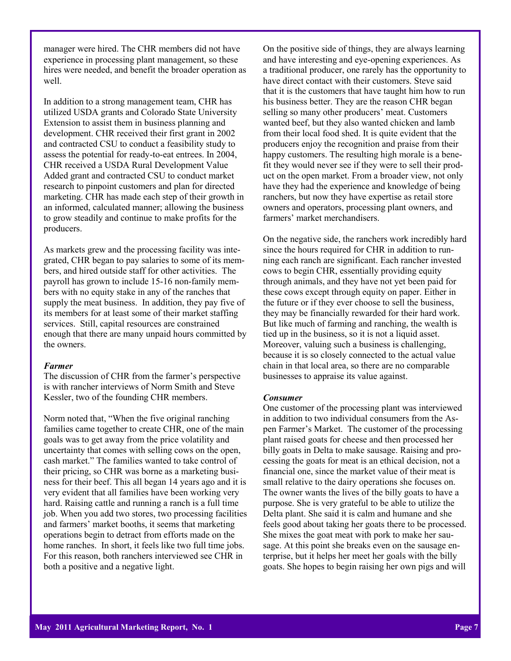manager were hired. The CHR members did not have experience in processing plant management, so these hires were needed, and benefit the broader operation as well.

In addition to a strong management team, CHR has utilized USDA grants and Colorado State University Extension to assist them in business planning and development. CHR received their first grant in 2002 and contracted CSU to conduct a feasibility study to assess the potential for ready-to-eat entrees. In 2004, CHR received a USDA Rural Development Value Added grant and contracted CSU to conduct market research to pinpoint customers and plan for directed marketing. CHR has made each step of their growth in an informed, calculated manner; allowing the business to grow steadily and continue to make profits for the producers.

As markets grew and the processing facility was integrated, CHR began to pay salaries to some of its members, and hired outside staff for other activities. The payroll has grown to include 15-16 non-family members with no equity stake in any of the ranches that supply the meat business. In addition, they pay five of its members for at least some of their market staffing services. Still, capital resources are constrained enough that there are many unpaid hours committed by the owners.

### *Farmer*

The discussion of CHR from the farmer's perspective is with rancher interviews of Norm Smith and Steve Kessler, two of the founding CHR members.

Norm noted that, "When the five original ranching families came together to create CHR, one of the main goals was to get away from the price volatility and uncertainty that comes with selling cows on the open, cash market." The families wanted to take control of their pricing, so CHR was borne as a marketing business for their beef. This all began 14 years ago and it is very evident that all families have been working very hard. Raising cattle and running a ranch is a full time job. When you add two stores, two processing facilities and farmers' market booths, it seems that marketing operations begin to detract from efforts made on the home ranches. In short, it feels like two full time jobs. For this reason, both ranchers interviewed see CHR in both a positive and a negative light.

On the positive side of things, they are always learning and have interesting and eye-opening experiences. As a traditional producer, one rarely has the opportunity to have direct contact with their customers. Steve said that it is the customers that have taught him how to run his business better. They are the reason CHR began selling so many other producers' meat. Customers wanted beef, but they also wanted chicken and lamb from their local food shed. It is quite evident that the producers enjoy the recognition and praise from their happy customers. The resulting high morale is a benefit they would never see if they were to sell their product on the open market. From a broader view, not only have they had the experience and knowledge of being ranchers, but now they have expertise as retail store owners and operators, processing plant owners, and farmers' market merchandisers.

On the negative side, the ranchers work incredibly hard since the hours required for CHR in addition to running each ranch are significant. Each rancher invested cows to begin CHR, essentially providing equity through animals, and they have not yet been paid for these cows except through equity on paper. Either in the future or if they ever choose to sell the business, they may be financially rewarded for their hard work. But like much of farming and ranching, the wealth is tied up in the business, so it is not a liquid asset. Moreover, valuing such a business is challenging, because it is so closely connected to the actual value chain in that local area, so there are no comparable businesses to appraise its value against.

# *Consumer*

One customer of the processing plant was interviewed in addition to two individual consumers from the Aspen Farmer's Market. The customer of the processing plant raised goats for cheese and then processed her billy goats in Delta to make sausage. Raising and processing the goats for meat is an ethical decision, not a financial one, since the market value of their meat is small relative to the dairy operations she focuses on. The owner wants the lives of the billy goats to have a purpose. She is very grateful to be able to utilize the Delta plant. She said it is calm and humane and she feels good about taking her goats there to be processed. She mixes the goat meat with pork to make her sausage. At this point she breaks even on the sausage enterprise, but it helps her meet her goals with the billy goats. She hopes to begin raising her own pigs and will